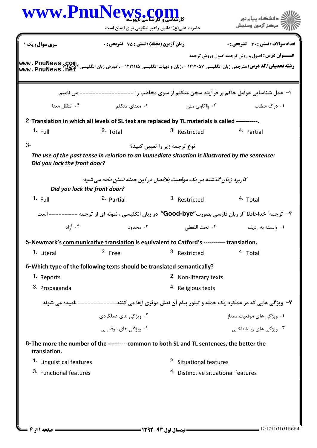|                                                                                                             | WWW.PnuNews.com<br>حضرت علی(ع): دانش راهبر نیکویی برای ایمان است                                |                                                | گ دانشگاه پیام نو <b>ر</b><br>مركز آزمون وسنجش                                                         |
|-------------------------------------------------------------------------------------------------------------|-------------------------------------------------------------------------------------------------|------------------------------------------------|--------------------------------------------------------------------------------------------------------|
| سری سوال : یک ۱                                                                                             | <b>زمان آزمون (دقیقه) : تستی : 75 ٪ تشریحی : 0</b>                                              |                                                | تعداد سوالات : تستي : 30 ٪ تشريحي : 0                                                                  |
| www.PnuNews.net                                                                                             |                                                                                                 |                                                | <b>عنـــوان درس:</b> اصول و روش ترجمه،اصول وروش ترجمه                                                  |
| --- می نامیم.                                                                                               |                                                                                                 |                                                | ا– عمل شناسایی عوامل حاکم بر فرآیند سخن متکلم از سوی مخاطب را ---                                      |
| ۰۴ انتقال معنا                                                                                              | ۰۳ معنای متکلم                                                                                  | ۰۲ واکاوی متن                                  | ۰۱ درک مطلب                                                                                            |
| 2-Translation in which all levels of SL text are replaced by TL materials is called -----------.            |                                                                                                 |                                                |                                                                                                        |
| 1. Full                                                                                                     | 2. Total                                                                                        | <sup>3.</sup> Restricted                       | 4. Partial                                                                                             |
| $3-$                                                                                                        |                                                                                                 | نوع ترجمه زیر را تعیین کنید؟                   |                                                                                                        |
| Did you lock the front door?                                                                                | The use of the past tense in relation to an immediate situation is illustrated by the sentence: |                                                |                                                                                                        |
| Did you lock the front door?                                                                                | کاربرد زمان گذشته در یک موقعیت بلافصل در این جمله نشان داده می شود:                             |                                                |                                                                                                        |
| 1. $Full$                                                                                                   | 2. Partial                                                                                      | 3. Restricted                                  | 4. Total                                                                                               |
|                                                                                                             |                                                                                                 |                                                | ۴–  ترجمه ً خداحافظ "از زبان فارسی بصورت"Good-bye"  در زبان انگلیسی ، نمونه ای از ترجمه ---------- است |
| ۰۴ آ;اد                                                                                                     | ۰۳ محدود                                                                                        | ٢.  تحت اللفظي                                 | ۰۱ وابسته به ردیف                                                                                      |
| 5-Newmark's communicative translation is equivalent to Catford's ----------- translation.                   |                                                                                                 |                                                |                                                                                                        |
| 1. Literal                                                                                                  | 2. Free                                                                                         | 3. Restricted                                  | 4. Total                                                                                               |
| 6-Which type of the following texts should be translated semantically?                                      |                                                                                                 |                                                |                                                                                                        |
| 1. Reports                                                                                                  |                                                                                                 | 2. Non-literary texts                          |                                                                                                        |
| 3. Propaganda                                                                                               |                                                                                                 | 4. Religious texts                             |                                                                                                        |
|                                                                                                             |                                                                                                 |                                                | ۷- ویژگی هایی که در عمکرد یک جمله و تبلور پیام آن نقش موثری ایفا می کنند------------ نامیده می شوند.   |
|                                                                                                             | ۰۲ ویژگی های عملکردی                                                                            |                                                | ۰۱ ویژگی های موقعیت ممتاز                                                                              |
|                                                                                                             | ۰۴ ویژگی های موقعیتی                                                                            |                                                | ۰۳ ویژگی های زبانشناختی                                                                                |
| 8- The more the number of the ---------- common to both SL and TL sentences, the better the<br>translation. |                                                                                                 |                                                |                                                                                                        |
| 1. Linguistical features                                                                                    |                                                                                                 | <sup>2.</sup> Situational features             |                                                                                                        |
| 3. Functional features                                                                                      |                                                                                                 | <sup>4.</sup> Distinctive situational features |                                                                                                        |
|                                                                                                             |                                                                                                 |                                                |                                                                                                        |
|                                                                                                             |                                                                                                 |                                                |                                                                                                        |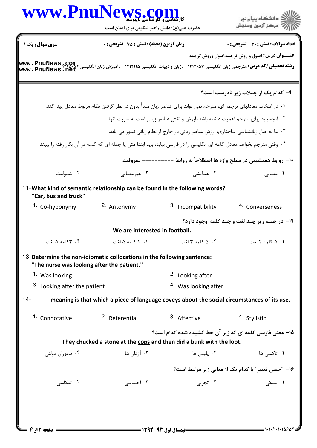|                                            | WWW.PnuNews.com<br>حضرت علی(ع): دانش راهبر نیکویی برای ایمان است                                                          |                                                                                        | الاد دانشگاه پيام نور<br>الا مرکز آزمون وسنجش                                                                                                                                                                               |  |  |  |
|--------------------------------------------|---------------------------------------------------------------------------------------------------------------------------|----------------------------------------------------------------------------------------|-----------------------------------------------------------------------------------------------------------------------------------------------------------------------------------------------------------------------------|--|--|--|
| <b>سری سوال :</b> یک ۱                     | زمان آزمون (دقيقه) : تستى : 75 تشريحى : 0                                                                                 |                                                                                        | تعداد سوالات : تستى : 30 - تشريحي : 0                                                                                                                                                                                       |  |  |  |
|                                            |                                                                                                                           |                                                                                        | <b>عنـــوان درس:</b> اصول و روش ترجمه،اصول وروش ترجمه<br><b>رشته تحصیلی/کد درس:</b> مترجمی زبان انگلیسی ۱۲۱۲۰۵۷ - ،زبان وادبیات انگلیسی ۱۲۱۲۱۱۵ - ،آموزش زبان انگلیسی <b>۱۲۲۵۰۷۲ و www . PnuNews</b><br>www . PnuNews . net |  |  |  |
|                                            |                                                                                                                           |                                                                                        | ۹- کدام یک از جملات زیر نادرست است؟                                                                                                                                                                                         |  |  |  |
|                                            | ۰۱ در انتخاب معادلهای ترجمه ای، مترجم نمی تواند برای عناصر زبان مبدأ بدون در نظر گرفتن نظام مربوط معادل پیدا كند.         |                                                                                        |                                                                                                                                                                                                                             |  |  |  |
|                                            |                                                                                                                           | ۰۲ آنچه باید برای مترجم اهمیت داشته باشد، ارزش و نقش عناصر زبانی است نه صورت آنها.     |                                                                                                                                                                                                                             |  |  |  |
|                                            |                                                                                                                           | ۰۳ بنا به اصل زبانشناسی ساختاری، ارزش عناصر زبانی در خارج از نظام زبانی تبلور می یابد. |                                                                                                                                                                                                                             |  |  |  |
|                                            | ۰۴ وقتی مترجم بخواهد معادل کلمه ای انگلیسی را در فارسی بیابد، باید ابتدا متن یا جمله ای که کلمه در آن بکار رفته را ببیند. |                                                                                        |                                                                                                                                                                                                                             |  |  |  |
|                                            | - معروفند.                                                                                                                | ∙ا− روابط همنشینی در سطح واژه ها اصطلاحاً به روابط                                     |                                                                                                                                                                                                                             |  |  |  |
| ۰۴ شمولیت                                  | ۰۳ هم معنایی                                                                                                              | ۰۲ همایشی                                                                              | ١. معنايي                                                                                                                                                                                                                   |  |  |  |
| "Car, bus and truck"                       | 11-What kind of semantic relationship can be found in the following words?                                                |                                                                                        |                                                                                                                                                                                                                             |  |  |  |
| 1. Co-hyponymy                             | 2. Antonymy                                                                                                               | 3. Incompatibility                                                                     | 4. Converseness                                                                                                                                                                                                             |  |  |  |
|                                            | We are interested in football.                                                                                            |                                                                                        | <b>۱۲- در جمله زیر چند لغت و چند کلمه وجود دارد؟</b>                                                                                                                                                                        |  |  |  |
| ۴. ۳کلمه ۵ افت                             |                                                                                                                           | ا ۵ کلمه ۳ افت مسلسله ۱۲ کلمه ۵ افت                                                    | ل ∆ كلمه ۴ أ <del>ف</del> ت                                                                                                                                                                                                 |  |  |  |
| "The nurse was looking after the patient." | 13-Determine the non-idiomatic collocations in the following sentence:                                                    |                                                                                        |                                                                                                                                                                                                                             |  |  |  |
| 1. Was looking                             |                                                                                                                           | <sup>2.</sup> Looking after                                                            |                                                                                                                                                                                                                             |  |  |  |
| 3. Looking after the patient               |                                                                                                                           | <sup>4.</sup> Was looking after                                                        |                                                                                                                                                                                                                             |  |  |  |
|                                            | 14--------- meaning is that which a piece of language coveys about the social circumstances of its use.                   |                                                                                        |                                                                                                                                                                                                                             |  |  |  |
| 1. Connotative                             | <sup>2</sup> Referential                                                                                                  | 3. Affective                                                                           | 4. Stylistic                                                                                                                                                                                                                |  |  |  |
|                                            |                                                                                                                           |                                                                                        | 15- معنی فارسی کلمه ای که زیر آن خط کشیده شده کدام است؟                                                                                                                                                                     |  |  |  |
|                                            | They chucked a stone at the cops and then did a bunk with the loot.                                                       |                                                                                        |                                                                                                                                                                                                                             |  |  |  |
| ۰۴ ماموران دولتی                           | ۰۳ آژدان ها                                                                                                               | ۰۲ پلیس ها                                                                             | ۰۱ تاکسی ها                                                                                                                                                                                                                 |  |  |  |
|                                            |                                                                                                                           |                                                                                        | ۱۶– ″حسن تعبیر″ با کدام یک از معانی زیر مرتبط است؟                                                                                                                                                                          |  |  |  |
| ۰۴ انعکاسی                                 | ۰۳ احساسی                                                                                                                 | ۰۲ تجربی                                                                               | ۰۱ سبکی                                                                                                                                                                                                                     |  |  |  |
|                                            |                                                                                                                           |                                                                                        |                                                                                                                                                                                                                             |  |  |  |
|                                            |                                                                                                                           |                                                                                        |                                                                                                                                                                                                                             |  |  |  |

**: صفحه 2 از 4 =**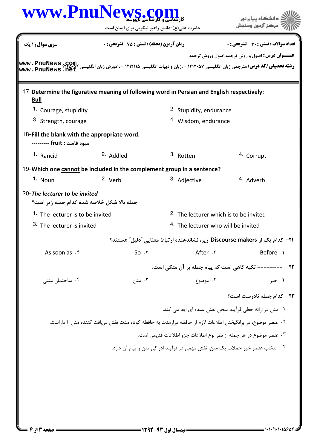| www.PnuNews.com                                                                                           | حضرت علی(ع): دانش راهبر نیکویی برای ایمان است                      |                                                | دانشگاه پيام نور                                                                                             |  |
|-----------------------------------------------------------------------------------------------------------|--------------------------------------------------------------------|------------------------------------------------|--------------------------------------------------------------------------------------------------------------|--|
| سری سوال: ۱ یک                                                                                            | <b>زمان آزمون (دقیقه) : تستی : 75 ٪ تشریحی : 0</b>                 |                                                | تعداد سوالات : تستي : 30 - تشريحي : 0                                                                        |  |
|                                                                                                           |                                                                    |                                                | <b>عنـــوان درس:</b> اصول و روش ترجمه،اصول وروش ترجمه                                                        |  |
| 17-Determine the figurative meaning of following word in Persian and English respectively:<br><u>Bull</u> |                                                                    |                                                |                                                                                                              |  |
| 1. Courage, stupidity                                                                                     |                                                                    | 2. Stupidity, endurance                        |                                                                                                              |  |
| 3. Strength, courage                                                                                      |                                                                    | 4. Wisdom, endurance                           |                                                                                                              |  |
| 18-Fill the blank with the appropriate word.<br>ميوه فاسد : fruit --------                                |                                                                    |                                                |                                                                                                              |  |
| 1. Rancid                                                                                                 | 2. Addled                                                          | 3. Rotten                                      | 4. Corrupt                                                                                                   |  |
| 19-Which one cannot be included in the complement group in a sentence?                                    |                                                                    |                                                |                                                                                                              |  |
| 1. Noun                                                                                                   | 2. Verb                                                            | 3. Adjective                                   | 4. Adverb                                                                                                    |  |
| 20-The lecturer to be invited<br>جمله بالا شكل خلاصه شده كدام جمله زير است؟                               |                                                                    |                                                |                                                                                                              |  |
| 1. The lecturer is to be invited                                                                          |                                                                    | 2. The lecturer which is to be invited         |                                                                                                              |  |
| 3. The lecturer is invited                                                                                |                                                                    | <sup>4.</sup> The lecturer who will be invited |                                                                                                              |  |
|                                                                                                           |                                                                    |                                                | ا۲− کدام یک از Discourse makers زیر، نشاندهنده ارتباط معنایی ″دلیل″ هستند؟                                   |  |
| As soon as . f                                                                                            | So.7                                                               | After . ٢                                      | Before .1                                                                                                    |  |
|                                                                                                           | <del>٢</del> ٢ -------- تكيه گاهي است كه پيام جمله بر آن متكي است. |                                                |                                                                                                              |  |
| ۰۴ ساختمان متنى                                                                                           | ۰۳ متن                                                             | ۰۲ موضوع                                       | ۰۱ خبر                                                                                                       |  |
|                                                                                                           |                                                                    |                                                | <b>۲۳</b> - کدام جمله نادرست است؟                                                                            |  |
|                                                                                                           |                                                                    |                                                | ۰۱ متن در ارائه خطی فرآیند سخن نقش عمده ای ایفا می کند.                                                      |  |
|                                                                                                           |                                                                    |                                                | ۲۰ عنصر موضوع، در برانگیختن اطلاعات لازم از حافظه درازمدت به حافظه کوتاه مدت نقش دریافت کننده متن را داراست. |  |
|                                                                                                           |                                                                    |                                                | ٠٣ عنصر موضوع در هر جمله از نظر نوع اطلاعات جزو اطلاعات قديمي است.                                           |  |
|                                                                                                           |                                                                    |                                                | ۰۴ انتخاب عنصر خبر جملات یک متن، نقش مهمی در فرآیند ادراکی متن و پیام آن دارد.                               |  |
|                                                                                                           |                                                                    |                                                |                                                                                                              |  |
|                                                                                                           |                                                                    |                                                |                                                                                                              |  |
|                                                                                                           |                                                                    |                                                |                                                                                                              |  |
|                                                                                                           |                                                                    |                                                |                                                                                                              |  |
|                                                                                                           |                                                                    |                                                |                                                                                                              |  |